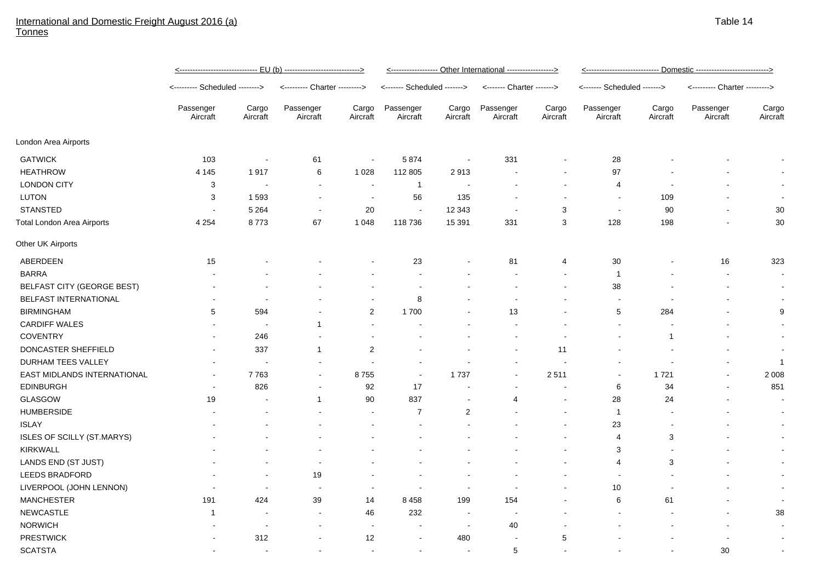## International and Domestic Freight August 2016 (a) **Tonnes**

|                                   | <u>&lt;----------------------------- EU (b) ---------------------------&gt;</u> |                          |                               |                          | <------------------ Other International ------------------> |                          |                           |                          | <u>&lt;--------------------------- Domestic --------------------------&gt;</u> |                   |                               |                   |
|-----------------------------------|---------------------------------------------------------------------------------|--------------------------|-------------------------------|--------------------------|-------------------------------------------------------------|--------------------------|---------------------------|--------------------------|--------------------------------------------------------------------------------|-------------------|-------------------------------|-------------------|
|                                   | <-------- Scheduled -------->                                                   |                          | <--------- Charter ---------> |                          | <------- Scheduled ------->                                 |                          | <------- Charter -------> |                          | <------- Scheduled ------->                                                    |                   | <--------- Charter ---------> |                   |
|                                   | Passenger<br>Aircraft                                                           | Cargo<br>Aircraft        | Passenger<br>Aircraft         | Cargo<br>Aircraft        | Passenger<br>Aircraft                                       | Cargo<br>Aircraft        | Passenger<br>Aircraft     | Cargo<br>Aircraft        | Passenger<br>Aircraft                                                          | Cargo<br>Aircraft | Passenger<br>Aircraft         | Cargo<br>Aircraft |
| London Area Airports              |                                                                                 |                          |                               |                          |                                                             |                          |                           |                          |                                                                                |                   |                               |                   |
| <b>GATWICK</b>                    | 103                                                                             | $\blacksquare$           | 61                            | $\blacksquare$           | 5874                                                        | $\overline{\phantom{a}}$ | 331                       |                          | 28                                                                             |                   |                               |                   |
| <b>HEATHROW</b>                   | 4 1 4 5                                                                         | 1917                     | 6                             | 1 0 2 8                  | 112 805                                                     | 2913                     | $\blacksquare$            | $\blacksquare$           | 97                                                                             |                   |                               |                   |
| <b>LONDON CITY</b>                | 3                                                                               | $\overline{\phantom{a}}$ | $\blacksquare$                | $\overline{\phantom{a}}$ | $\overline{1}$                                              | $\overline{\phantom{a}}$ | $\blacksquare$            | $\blacksquare$           | 4                                                                              |                   |                               |                   |
| <b>LUTON</b>                      | 3                                                                               | 1593                     | $\blacksquare$                | $\overline{\phantom{a}}$ | 56                                                          | 135                      |                           |                          | $\blacksquare$                                                                 | 109               |                               |                   |
| <b>STANSTED</b>                   | $\blacksquare$                                                                  | 5 2 6 4                  | $\blacksquare$                | 20                       | $\overline{\phantom{a}}$                                    | 12 3 43                  | $\blacksquare$            | 3                        | $\blacksquare$                                                                 | 90                |                               | 30                |
| <b>Total London Area Airports</b> | 4 2 5 4                                                                         | 8773                     | 67                            | 1 0 4 8                  | 118 736                                                     | 15 391                   | 331                       | $\sqrt{3}$               | 128                                                                            | 198               |                               | 30                |
| Other UK Airports                 |                                                                                 |                          |                               |                          |                                                             |                          |                           |                          |                                                                                |                   |                               |                   |
| ABERDEEN                          | 15                                                                              |                          |                               |                          | 23                                                          |                          | 81                        | 4                        | 30                                                                             |                   | 16                            | 323               |
| <b>BARRA</b>                      |                                                                                 |                          |                               |                          |                                                             |                          |                           | $\blacksquare$           | $\mathbf{1}$                                                                   |                   | $\blacksquare$                |                   |
| BELFAST CITY (GEORGE BEST)        |                                                                                 |                          |                               |                          | $\overline{\phantom{a}}$                                    |                          |                           | $\overline{\phantom{a}}$ | 38                                                                             |                   | $\blacksquare$                |                   |
| BELFAST INTERNATIONAL             |                                                                                 | $\blacksquare$           | $\blacksquare$                | $\sim$                   | 8                                                           |                          | $\overline{\phantom{a}}$  | $\blacksquare$           | $\overline{\phantom{a}}$                                                       |                   |                               |                   |
| <b>BIRMINGHAM</b>                 | 5                                                                               | 594                      | $\blacksquare$                | $\overline{2}$           | 1700                                                        |                          | 13                        |                          | 5                                                                              | 284               | $\overline{\phantom{a}}$      | 9                 |
| <b>CARDIFF WALES</b>              |                                                                                 |                          | $\mathbf 1$                   | $\overline{\phantom{a}}$ |                                                             |                          |                           |                          |                                                                                |                   |                               |                   |
| <b>COVENTRY</b>                   |                                                                                 | 246                      |                               | $\blacksquare$           |                                                             |                          |                           |                          |                                                                                | -1                |                               |                   |
| DONCASTER SHEFFIELD               |                                                                                 | 337                      | $\mathbf{1}$                  | 2                        |                                                             |                          | $\blacksquare$            | 11                       |                                                                                |                   |                               |                   |
| DURHAM TEES VALLEY                | $\blacksquare$                                                                  |                          | $\overline{\phantom{a}}$      |                          | $\sim$                                                      |                          |                           |                          | $\blacksquare$                                                                 |                   |                               | $\mathbf{1}$      |
| EAST MIDLANDS INTERNATIONAL       |                                                                                 | 7763                     | $\blacksquare$                | 8755                     | $\overline{\phantom{a}}$                                    | 1737                     | $\sim$                    | 2511                     | $\blacksquare$                                                                 | 1721              | $\blacksquare$                | 2 0 0 8           |
| <b>EDINBURGH</b>                  |                                                                                 | 826                      | $\blacksquare$                | 92                       | 17                                                          |                          |                           |                          | 6                                                                              | 34                |                               | 851               |
| GLASGOW                           | 19                                                                              |                          | $\mathbf{1}$                  | $90\,$                   | 837                                                         |                          | 4                         |                          | 28                                                                             | 24                |                               |                   |
| <b>HUMBERSIDE</b>                 |                                                                                 |                          |                               | $\blacksquare$           | $\overline{7}$                                              | $\overline{c}$           |                           |                          | $\mathbf{1}$                                                                   |                   |                               |                   |
| <b>ISLAY</b>                      |                                                                                 |                          |                               |                          |                                                             |                          |                           | $\blacksquare$           | 23                                                                             |                   |                               |                   |
| ISLES OF SCILLY (ST.MARYS)        |                                                                                 |                          |                               |                          |                                                             |                          |                           |                          | 4                                                                              | 3                 |                               |                   |
| <b>KIRKWALL</b>                   |                                                                                 |                          |                               |                          |                                                             |                          |                           |                          | 3                                                                              |                   |                               |                   |
| LANDS END (ST JUST)               |                                                                                 |                          | $\blacksquare$                |                          |                                                             |                          |                           | $\blacksquare$           | 4                                                                              | 3                 |                               |                   |
| LEEDS BRADFORD                    |                                                                                 |                          | 19                            |                          |                                                             |                          |                           |                          | $\overline{a}$                                                                 |                   |                               |                   |
| LIVERPOOL (JOHN LENNON)           |                                                                                 | $\blacksquare$           | $\blacksquare$                | $\sim$                   |                                                             | ÷,                       | $\sim$                    |                          | 10                                                                             |                   |                               |                   |
| <b>MANCHESTER</b>                 | 191                                                                             | 424                      | 39                            | 14                       | 8 4 5 8                                                     | 199                      | 154                       |                          | 6                                                                              | 61                |                               |                   |
| <b>NEWCASTLE</b>                  | -1                                                                              | $\overline{\phantom{a}}$ | $\blacksquare$                | 46                       | 232                                                         | $\overline{\phantom{a}}$ | $\sim$                    |                          |                                                                                |                   | $\overline{\phantom{a}}$      | 38                |
| <b>NORWICH</b>                    |                                                                                 | $\overline{\phantom{a}}$ | $\blacksquare$                | $\blacksquare$           | $\blacksquare$                                              | $\overline{\phantom{a}}$ | 40                        |                          |                                                                                |                   |                               |                   |
| <b>PRESTWICK</b>                  |                                                                                 | 312                      | $\overline{\phantom{a}}$      | 12                       |                                                             | 480                      | $\blacksquare$            | 5                        |                                                                                |                   |                               |                   |
| <b>SCATSTA</b>                    | $\blacksquare$                                                                  |                          | $\blacksquare$                | $\sim$                   | $\sim$                                                      |                          | 5                         |                          |                                                                                |                   | 30                            |                   |